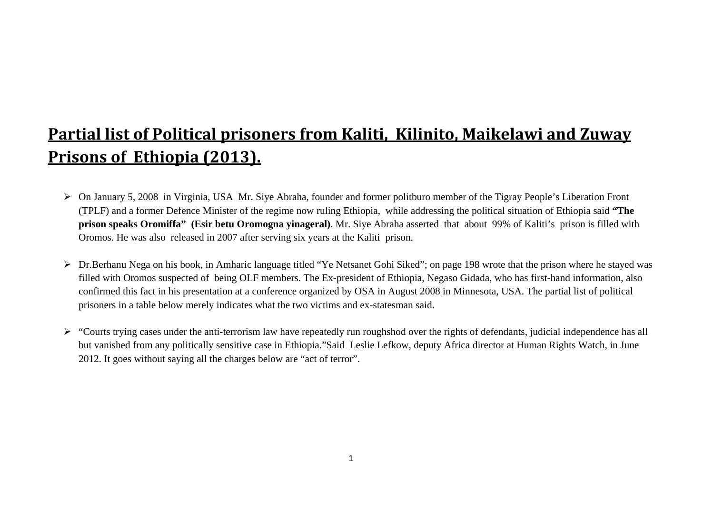## **Partial list of Political prisoners from Kaliti, Kilinito, Maikelawi and Zuway Prisons of Ethiopia (2013).**

- ¾ On January 5, 2008 in Virginia, USA Mr. Siye Abraha, founder and former politburo member of the Tigray People's Liberation Front (TPLF) and a former Defence Minister of the regime now ruling Ethiopia, while addressing the political situation of Ethiopia said **"The prison speaks Oromiffa" (Esir betu Oromogna yinageral)**. Mr. Siye Abraha asserted that about 99% of Kaliti's prison is filled with Oromos. He was also released in 2007 after serving six years at the Kaliti prison.
- ¾ Dr.Berhanu Nega on his book, in Amharic language titled "Ye Netsanet Gohi Siked"; on page 198 wrote that the prison where he stayed was filled with Oromos suspected of being OLF members. The Ex-president of Ethiopia, Negaso Gidada, who has first-hand information, also confirmed this fact in his presentation at a conference organized by OSA in August 2008 in Minnesota, USA. The partial list of political prisoners in a table below merely indicates what the two victims and ex-statesman said.
- ¾ "Courts trying cases under the anti-terrorism law have repeatedly run roughshod over the rights of defendants, judicial independence has all but vanished from any politically sensitive case in Ethiopia."Said Leslie Lefkow, deputy Africa director at Human Rights Watch, in June 2012. It goes without saying all the charges below are "act of terror".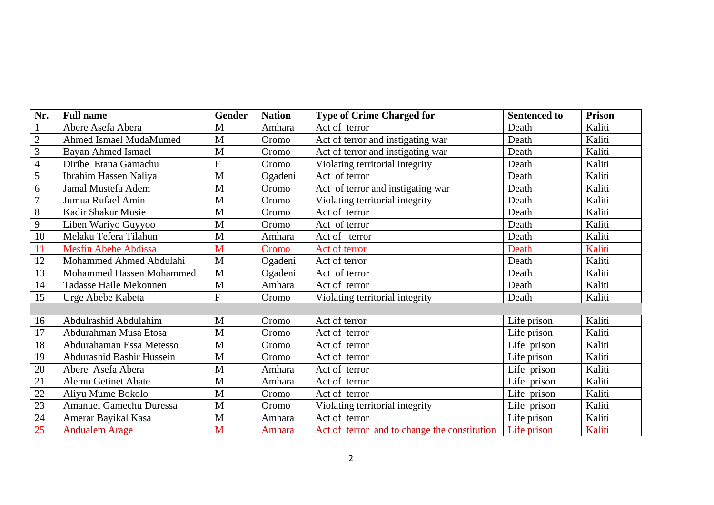| Nr.            | <b>Full name</b>               | <b>Gender</b> | <b>Nation</b> | <b>Type of Crime Charged for</b>             | <b>Sentenced to</b> | <b>Prison</b> |
|----------------|--------------------------------|---------------|---------------|----------------------------------------------|---------------------|---------------|
|                | Abere Asefa Abera              | M             | Amhara        | Act of terror                                | Death               | Kaliti        |
| $\sqrt{2}$     | Ahmed Ismael MudaMumed         | M             | Oromo         | Act of terror and instigating war            | Death               | Kaliti        |
| 3              | <b>Bayan Ahmed Ismael</b>      | M             | Oromo         | Act of terror and instigating war            | Death               | Kaliti        |
| $\overline{4}$ | Diribe Etana Gamachu           | $\mathbf F$   | Oromo         | Violating territorial integrity              | Death               | Kaliti        |
| 5              | Ibrahim Hassen Naliya          | M             | Ogadeni       | Act of terror                                | Death               | Kaliti        |
| 6              | Jamal Mustefa Adem             | M             | Oromo         | Act of terror and instigating war            | Death               | Kaliti        |
| $\overline{7}$ | Jumua Rufael Amin              | M             | Oromo         | Violating territorial integrity              | Death               | Kaliti        |
| 8              | Kadir Shakur Musie             | M             | Oromo         | Act of terror                                | Death               | Kaliti        |
| 9              | Liben Wariyo Guyyoo            | M             | Oromo         | Act of terror                                | Death               | Kaliti        |
| 10             | Melaku Tefera Tilahun          | M             | Amhara        | Act of terror                                | Death               | Kaliti        |
| 11             | <b>Mesfin Abebe Abdissa</b>    | M             | Oromo         | Act of terror                                | Death               | Kaliti        |
| 12             | Mohammed Ahmed Abdulahi        | M             | Ogadeni       | Act of terror                                | Death               | Kaliti        |
| 13             | Mohammed Hassen Mohammed       | $\mathbf{M}$  | Ogadeni       | Act of terror                                | Death               | Kaliti        |
| 14             | Tadasse Haile Mekonnen         | M             | Amhara        | Act of terror                                | Death               | Kaliti        |
| 15             | Urge Abebe Kabeta              | ${\bf F}$     | Oromo         | Violating territorial integrity              | Death               | Kaliti        |
|                |                                |               |               |                                              |                     |               |
| 16             | Abdulrashid Abdulahim          | M             | Oromo         | Act of terror                                | Life prison         | Kaliti        |
| 17             | Abdurahman Musa Etosa          | M             | Oromo         | Act of terror                                | Life prison         | Kaliti        |
| 18             | Abdurahaman Essa Metesso       | $\mathbf{M}$  | Oromo         | Act of terror                                | Life prison         | Kaliti        |
| 19             | Abdurashid Bashir Hussein      | M             | Oromo         | Act of terror                                | Life prison         | Kaliti        |
| 20             | Abere Asefa Abera              | M             | Amhara        | Act of terror                                | Life prison         | Kaliti        |
| 21             | <b>Alemu Getinet Abate</b>     | M             | Amhara        | Act of terror                                | Life prison         | Kaliti        |
| 22             | Aliyu Mume Bokolo              | M             | Oromo         | Act of terror                                | Life prison         | Kaliti        |
| 23             | <b>Amanuel Gamechu Duressa</b> | $\mathbf{M}$  | Oromo         | Violating territorial integrity              | Life prison         | Kaliti        |
| 24             | Amerar Bayikal Kasa            | M             | Amhara        | Act of terror                                | Life prison         | Kaliti        |
| 25             | <b>Andualem Arage</b>          | M             | Amhara        | Act of terror and to change the constitution | Life prison         | Kaliti        |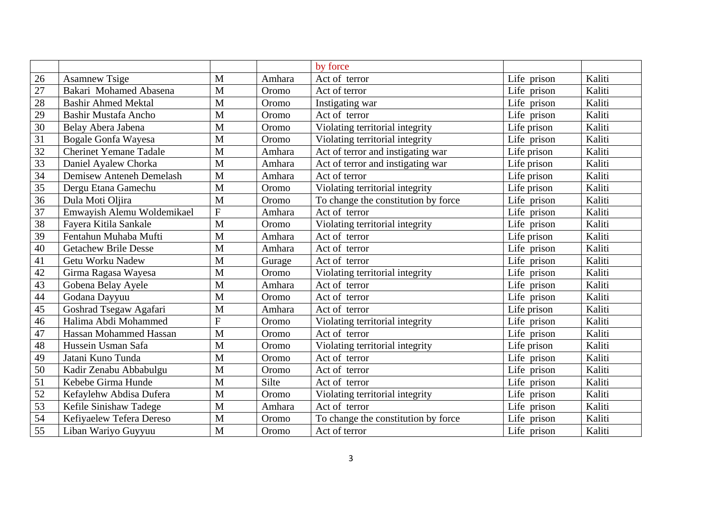|                 |                               |                |        | by force                            |             |        |
|-----------------|-------------------------------|----------------|--------|-------------------------------------|-------------|--------|
| 26              | <b>Asamnew Tsige</b>          | M              | Amhara | Act of terror                       | Life prison | Kaliti |
| 27              | Bakari Mohamed Abasena        | M              | Oromo  | Act of terror                       | Life prison | Kaliti |
| 28              | <b>Bashir Ahmed Mektal</b>    | M              | Oromo  | Instigating war                     | Life prison | Kaliti |
| 29              | Bashir Mustafa Ancho          | $\mathbf{M}$   | Oromo  | Act of terror                       | Life prison | Kaliti |
| 30              | Belay Abera Jabena            | M              | Oromo  | Violating territorial integrity     | Life prison | Kaliti |
| 31              | Bogale Gonfa Wayesa           | M              | Oromo  | Violating territorial integrity     | Life prison | Kaliti |
| 32              | <b>Cherinet Yemane Tadale</b> | M              | Amhara | Act of terror and instigating war   | Life prison | Kaliti |
| 33              | Daniel Ayalew Chorka          | M              | Amhara | Act of terror and instigating war   | Life prison | Kaliti |
| $\overline{34}$ | Demisew Anteneh Demelash      | M              | Amhara | Act of terror                       | Life prison | Kaliti |
| 35              | Dergu Etana Gamechu           | M              | Oromo  | Violating territorial integrity     | Life prison | Kaliti |
| 36              | Dula Moti Oljira              | M              | Oromo  | To change the constitution by force | Life prison | Kaliti |
| 37              | Emwayish Alemu Woldemikael    | $\mathbf F$    | Amhara | Act of terror                       | Life prison | Kaliti |
| 38              | Fayera Kitila Sankale         | M              | Oromo  | Violating territorial integrity     | Life prison | Kaliti |
| 39              | Fentahun Muhaba Mufti         | M              | Amhara | Act of terror                       | Life prison | Kaliti |
| 40              | <b>Getachew Brile Desse</b>   | M              | Amhara | Act of terror                       | Life prison | Kaliti |
| 41              | Getu Worku Nadew              | $\mathbf{M}$   | Gurage | Act of terror                       | Life prison | Kaliti |
| 42              | Girma Ragasa Wayesa           | M              | Oromo  | Violating territorial integrity     | Life prison | Kaliti |
| 43              | Gobena Belay Ayele            | M              | Amhara | Act of terror                       | Life prison | Kaliti |
| 44              | Godana Dayyuu                 | M              | Oromo  | Act of terror                       | Life prison | Kaliti |
| 45              | Goshrad Tsegaw Agafari        | M              | Amhara | Act of terror                       | Life prison | Kaliti |
| $46\,$          | Halima Abdi Mohammed          | $\overline{F}$ | Oromo  | Violating territorial integrity     | Life prison | Kaliti |
| 47              | Hassan Mohammed Hassan        | M              | Oromo  | Act of terror                       | Life prison | Kaliti |
| 48              | Hussein Usman Safa            | M              | Oromo  | Violating territorial integrity     | Life prison | Kaliti |
| 49              | Jatani Kuno Tunda             | M              | Oromo  | Act of terror                       | Life prison | Kaliti |
| 50              | Kadir Zenabu Abbabulgu        | M              | Oromo  | Act of terror                       | Life prison | Kaliti |
| 51              | Kebebe Girma Hunde            | M              | Silte  | Act of terror                       | Life prison | Kaliti |
| 52              | Kefaylehw Abdisa Dufera       | M              | Oromo  | Violating territorial integrity     | Life prison | Kaliti |
| 53              | Kefile Sinishaw Tadege        | M              | Amhara | Act of terror                       | Life prison | Kaliti |
| 54              | Kefiyaelew Tefera Dereso      | M              | Oromo  | To change the constitution by force | Life prison | Kaliti |
| 55              | Liban Wariyo Guyyuu           | M              | Oromo  | Act of terror                       | Life prison | Kaliti |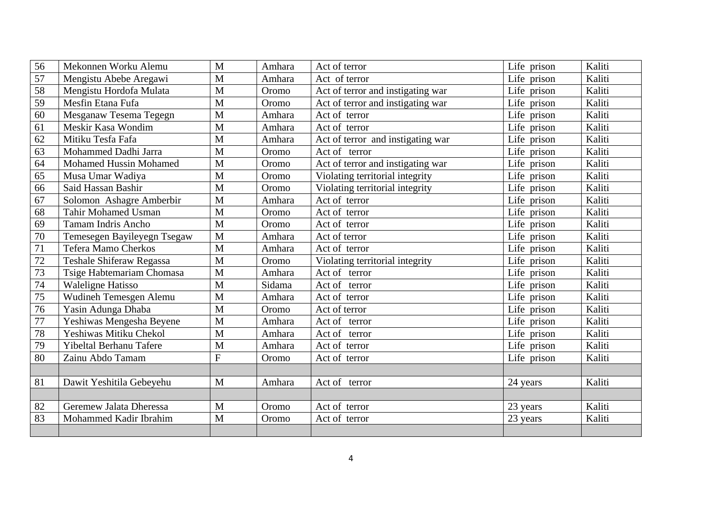| 56 | Mekonnen Worku Alemu            | M              | Amhara | Act of terror                     | Life prison | Kaliti |
|----|---------------------------------|----------------|--------|-----------------------------------|-------------|--------|
| 57 | Mengistu Abebe Aregawi          | M              | Amhara | Act of terror                     | Life prison | Kaliti |
| 58 | Mengistu Hordofa Mulata         | $\mathbf{M}$   | Oromo  | Act of terror and instigating war | Life prison | Kaliti |
| 59 | Mesfin Etana Fufa               | $\mathbf{M}$   | Oromo  | Act of terror and instigating war | Life prison | Kaliti |
| 60 | Mesganaw Tesema Tegegn          | M              | Amhara | Act of terror                     | Life prison | Kaliti |
| 61 | Meskir Kasa Wondim              | M              | Amhara | Act of terror                     | Life prison | Kaliti |
| 62 | Mitiku Tesfa Fafa               | M              | Amhara | Act of terror and instigating war | Life prison | Kaliti |
| 63 | Mohammed Dadhi Jarra            | M              | Oromo  | Act of terror                     | Life prison | Kaliti |
| 64 | <b>Mohamed Hussin Mohamed</b>   | M              | Oromo  | Act of terror and instigating war | Life prison | Kaliti |
| 65 | Musa Umar Wadiya                | $\mathbf{M}$   | Oromo  | Violating territorial integrity   | Life prison | Kaliti |
| 66 | Said Hassan Bashir              | M              | Oromo  | Violating territorial integrity   | Life prison | Kaliti |
| 67 | Solomon Ashagre Amberbir        | $\mathbf{M}$   | Amhara | Act of terror                     | Life prison | Kaliti |
| 68 | <b>Tahir Mohamed Usman</b>      | M              | Oromo  | Act of terror                     | Life prison | Kaliti |
| 69 | <b>Tamam Indris Ancho</b>       | M              | Oromo  | Act of terror                     | Life prison | Kaliti |
| 70 | Temesegen Bayileyegn Tsegaw     | $\mathbf M$    | Amhara | Act of terror                     | Life prison | Kaliti |
| 71 | <b>Tefera Mamo Cherkos</b>      | $\mathbf{M}$   | Amhara | Act of terror                     | Life prison | Kaliti |
| 72 | <b>Teshale Shiferaw Regassa</b> | M              | Oromo  | Violating territorial integrity   | Life prison | Kaliti |
| 73 | Tsige Habtemariam Chomasa       | M              | Amhara | Act of terror                     | Life prison | Kaliti |
| 74 | <b>Waleligne Hatisso</b>        | $\mathbf{M}$   | Sidama | Act of terror                     | Life prison | Kaliti |
| 75 | Wudineh Temesgen Alemu          | M              | Amhara | Act of terror                     | Life prison | Kaliti |
| 76 | Yasin Adunga Dhaba              | M              | Oromo  | Act of terror                     | Life prison | Kaliti |
| 77 | Yeshiwas Mengesha Beyene        | M              | Amhara | Act of terror                     | Life prison | Kaliti |
| 78 | Yeshiwas Mitiku Chekol          | M              | Amhara | Act of<br>terror                  | Life prison | Kaliti |
| 79 | Yibeltal Berhanu Tafere         | M              | Amhara | Act of terror                     | Life prison | Kaliti |
| 80 | Zainu Abdo Tamam                | $\overline{F}$ | Oromo  | Act of terror                     | Life prison | Kaliti |
|    |                                 |                |        |                                   |             |        |
| 81 | Dawit Yeshitila Gebeyehu        | M              | Amhara | Act of terror                     | 24 years    | Kaliti |
|    |                                 |                |        |                                   |             |        |
| 82 | Geremew Jalata Dheressa         | M              | Oromo  | Act of terror                     | 23 years    | Kaliti |
| 83 | Mohammed Kadir Ibrahim          | M              | Oromo  | Act of terror                     | 23 years    | Kaliti |
|    |                                 |                |        |                                   |             |        |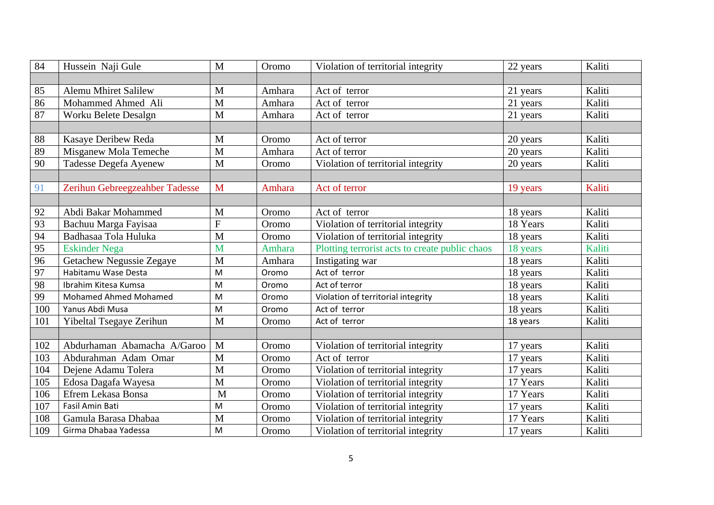| 84  | Hussein Naji Gule              | $\mathbf{M}$   | Oromo  | Violation of territorial integrity             | 22 years | Kaliti |
|-----|--------------------------------|----------------|--------|------------------------------------------------|----------|--------|
|     |                                |                |        |                                                |          |        |
| 85  | <b>Alemu Mhiret Salilew</b>    | M              | Amhara | Act of terror                                  | 21 years | Kaliti |
| 86  | Mohammed Ahmed Ali             | $\overline{M}$ | Amhara | Act of terror                                  | 21 years | Kaliti |
| 87  | Worku Belete Desalgn           | $\mathbf{M}$   | Amhara | Act of terror                                  | 21 years | Kaliti |
|     |                                |                |        |                                                |          |        |
| 88  | Kasaye Deribew Reda            | M              | Oromo  | Act of terror                                  | 20 years | Kaliti |
| 89  | Misganew Mola Temeche          | M              | Amhara | Act of terror                                  | 20 years | Kaliti |
| 90  | Tadesse Degefa Ayenew          | M              | Oromo  | Violation of territorial integrity             | 20 years | Kaliti |
|     |                                |                |        |                                                |          |        |
| 91  | Zerihun Gebreegzeahber Tadesse | M              | Amhara | Act of terror                                  | 19 years | Kaliti |
|     |                                |                |        |                                                |          |        |
| 92  | Abdi Bakar Mohammed            | M              | Oromo  | Act of terror                                  | 18 years | Kaliti |
| 93  | Bachuu Marga Fayisaa           | $\overline{F}$ | Oromo  | Violation of territorial integrity             | 18 Years | Kaliti |
| 94  | Badhasaa Tola Huluka           | $\mathbf{M}$   | Oromo  | Violation of territorial integrity             | 18 years | Kaliti |
| 95  | <b>Eskinder Nega</b>           | M              | Amhara | Plotting terrorist acts to create public chaos | 18 years | Kaliti |
| 96  | Getachew Negussie Zegaye       | M              | Amhara | Instigating war                                | 18 years | Kaliti |
| 97  | Habitamu Wase Desta            | M              | Oromo  | Act of terror                                  | 18 years | Kaliti |
| 98  | Ibrahim Kitesa Kumsa           | M              | Oromo  | Act of terror                                  | 18 years | Kaliti |
| 99  | Mohamed Ahmed Mohamed          | M              | Oromo  | Violation of territorial integrity             | 18 years | Kaliti |
| 100 | Yanus Abdi Musa                | M              | Oromo  | Act of terror                                  | 18 years | Kaliti |
| 101 | Yibeltal Tsegaye Zerihun       | M              | Oromo  | Act of terror                                  | 18 years | Kaliti |
|     |                                |                |        |                                                |          |        |
| 102 | Abdurhaman Abamacha A/Garoo    | M              | Oromo  | Violation of territorial integrity             | 17 years | Kaliti |
| 103 | Abdurahman Adam Omar           | $\mathbf{M}$   | Oromo  | Act of terror                                  | 17 years | Kaliti |
| 104 | Dejene Adamu Tolera            | M              | Oromo  | Violation of territorial integrity             | 17 years | Kaliti |
| 105 | Edosa Dagafa Wayesa            | M              | Oromo  | Violation of territorial integrity             | 17 Years | Kaliti |
| 106 | Efrem Lekasa Bonsa             | M              | Oromo  | Violation of territorial integrity             | 17 Years | Kaliti |
| 107 | Fasil Amin Bati                | M              | Oromo  | Violation of territorial integrity             | 17 years | Kaliti |
| 108 | Gamula Barasa Dhabaa           | M              | Oromo  | Violation of territorial integrity             | 17 Years | Kaliti |
| 109 | Girma Dhabaa Yadessa           | M              | Oromo  | Violation of territorial integrity             | 17 years | Kaliti |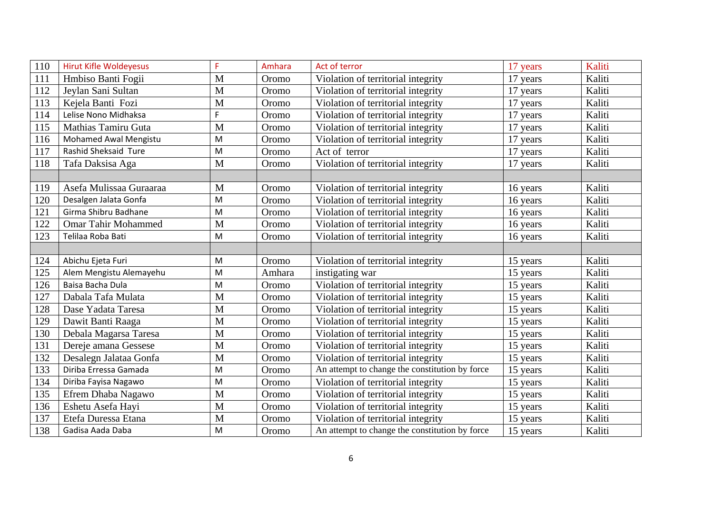| 110 | <b>Hirut Kifle Woldeyesus</b> | F         | Amhara | Act of terror                                  | 17 years | Kaliti |
|-----|-------------------------------|-----------|--------|------------------------------------------------|----------|--------|
| 111 | Hmbiso Banti Fogii            | M         | Oromo  | Violation of territorial integrity             | 17 years | Kaliti |
| 112 | Jeylan Sani Sultan            | M         | Oromo  | Violation of territorial integrity             | 17 years | Kaliti |
| 113 | Kejela Banti Fozi             | M         | Oromo  | Violation of territorial integrity             | 17 years | Kaliti |
| 114 | Lelise Nono Midhaksa          | F         | Oromo  | Violation of territorial integrity             | 17 years | Kaliti |
| 115 | Mathias Tamiru Guta           | M         | Oromo  | Violation of territorial integrity             | 17 years | Kaliti |
| 116 | <b>Mohamed Awal Mengistu</b>  | M         | Oromo  | Violation of territorial integrity             | 17 years | Kaliti |
| 117 | Rashid Sheksaid Ture          | M         | Oromo  | Act of terror                                  | 17 years | Kaliti |
| 118 | Tafa Daksisa Aga              | M         | Oromo  | Violation of territorial integrity             | 17 years | Kaliti |
|     |                               |           |        |                                                |          |        |
| 119 | Asefa Mulissaa Guraaraa       | M         | Oromo  | Violation of territorial integrity             | 16 years | Kaliti |
| 120 | Desalgen Jalata Gonfa         | M         | Oromo  | Violation of territorial integrity             | 16 years | Kaliti |
| 121 | Girma Shibru Badhane          | M         | Oromo  | Violation of territorial integrity             | 16 years | Kaliti |
| 122 | <b>Omar Tahir Mohammed</b>    | M         | Oromo  | Violation of territorial integrity             | 16 years | Kaliti |
| 123 | Telilaa Roba Bati             | M         | Oromo  | Violation of territorial integrity             | 16 years | Kaliti |
|     |                               |           |        |                                                |          |        |
| 124 | Abichu Ejeta Furi             | M         | Oromo  | Violation of territorial integrity             | 15 years | Kaliti |
| 125 | Alem Mengistu Alemayehu       | M         | Amhara | instigating war                                | 15 years | Kaliti |
| 126 | Baisa Bacha Dula              | M         | Oromo  | Violation of territorial integrity             | 15 years | Kaliti |
| 127 | Dabala Tafa Mulata            | M         | Oromo  | Violation of territorial integrity             | 15 years | Kaliti |
| 128 | Dase Yadata Taresa            | M         | Oromo  | Violation of territorial integrity             | 15 years | Kaliti |
| 129 | Dawit Banti Raaga             | M         | Oromo  | Violation of territorial integrity             | 15 years | Kaliti |
| 130 | Debala Magarsa Taresa         | M         | Oromo  | Violation of territorial integrity             | 15 years | Kaliti |
| 131 | Dereje amana Gessese          | M         | Oromo  | Violation of territorial integrity             | 15 years | Kaliti |
| 132 | Desalegn Jalataa Gonfa        | M         | Oromo  | Violation of territorial integrity             | 15 years | Kaliti |
| 133 | Diriba Erressa Gamada         | ${\sf M}$ | Oromo  | An attempt to change the constitution by force | 15 years | Kaliti |
| 134 | Diriba Fayisa Nagawo          | M         | Oromo  | Violation of territorial integrity             | 15 years | Kaliti |
| 135 | Efrem Dhaba Nagawo            | M         | Oromo  | Violation of territorial integrity             | 15 years | Kaliti |
| 136 | Eshetu Asefa Hayi             | M         | Oromo  | Violation of territorial integrity             | 15 years | Kaliti |
| 137 | Etefa Duressa Etana           | M         | Oromo  | Violation of territorial integrity             | 15 years | Kaliti |
| 138 | Gadisa Aada Daba              | ${\sf M}$ | Oromo  | An attempt to change the constitution by force | 15 years | Kaliti |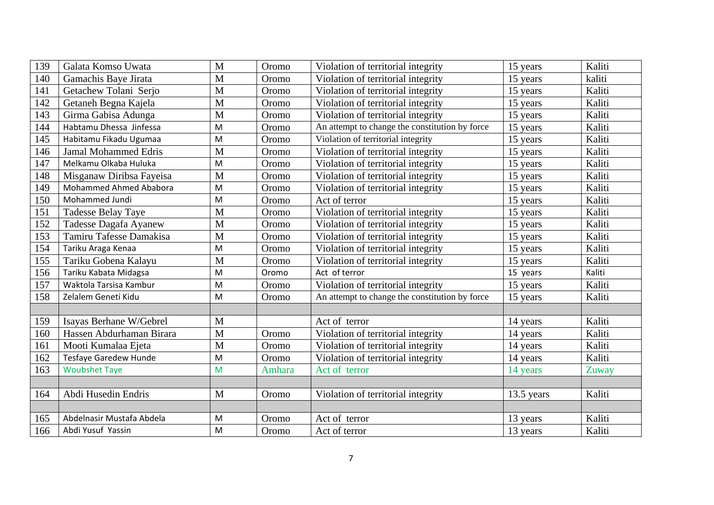| 139 | Galata Komso Uwata           | M | Oromo  | Violation of territorial integrity             | 15 years   | Kaliti |
|-----|------------------------------|---|--------|------------------------------------------------|------------|--------|
| 140 | Gamachis Baye Jirata         | M | Oromo  | Violation of territorial integrity             | 15 years   | kaliti |
| 141 | Getachew Tolani Serjo        | M | Oromo  | Violation of territorial integrity             | 15 years   | Kaliti |
| 142 | Getaneh Begna Kajela         | M | Oromo  | Violation of territorial integrity             | 15 years   | Kaliti |
| 143 | Girma Gabisa Adunga          | M | Oromo  | Violation of territorial integrity             | 15 years   | Kaliti |
| 144 | Habtamu Dhessa Jinfessa      | M | Oromo  | An attempt to change the constitution by force | 15 years   | Kaliti |
| 145 | Habitamu Fikadu Ugumaa       | M | Oromo  | Violation of territorial integrity             | 15 years   | Kaliti |
| 146 | <b>Jamal Mohammed Edris</b>  | M | Oromo  | Violation of territorial integrity             | 15 years   | Kaliti |
| 147 | Melkamu Olkaba Huluka        | M | Oromo  | Violation of territorial integrity             | 15 years   | Kaliti |
| 148 | Misganaw Diribsa Fayeisa     | M | Oromo  | Violation of territorial integrity             | 15 years   | Kaliti |
| 149 | Mohammed Ahmed Ababora       | M | Oromo  | Violation of territorial integrity             | 15 years   | Kaliti |
| 150 | Mohammed Jundi               | M | Oromo  | Act of terror                                  | 15 years   | Kaliti |
| 151 | <b>Tadesse Belay Taye</b>    | M | Oromo  | Violation of territorial integrity             | 15 years   | Kaliti |
| 152 | Tadesse Dagafa Ayanew        | M | Oromo  | Violation of territorial integrity             | 15 years   | Kaliti |
| 153 | Tamiru Tafesse Damakisa      | M | Oromo  | Violation of territorial integrity             | 15 years   | Kaliti |
| 154 | Tariku Araga Kenaa           | M | Oromo  | Violation of territorial integrity             | 15 years   | Kaliti |
| 155 | Tariku Gobena Kalayu         | M | Oromo  | Violation of territorial integrity             | 15 years   | Kaliti |
| 156 | Tariku Kabata Midagsa        | M | Oromo  | Act of terror                                  | 15 years   | Kaliti |
| 157 | Waktola Tarsisa Kambur       | M | Oromo  | Violation of territorial integrity             | 15 years   | Kaliti |
| 158 | Zelalem Geneti Kidu          | M | Oromo  | An attempt to change the constitution by force | 15 years   | Kaliti |
|     |                              |   |        |                                                |            |        |
| 159 | Isayas Berhane W/Gebrel      | M |        | Act of terror                                  | 14 years   | Kaliti |
| 160 | Hassen Abdurhaman Birara     | M | Oromo  | Violation of territorial integrity             | 14 years   | Kaliti |
| 161 | Mooti Kumalaa Ejeta          | M | Oromo  | Violation of territorial integrity             | 14 years   | Kaliti |
| 162 | <b>Tesfaye Garedew Hunde</b> | M | Oromo  | Violation of territorial integrity             | 14 years   | Kaliti |
| 163 | <b>Woubshet Taye</b>         | M | Amhara | Act of terror                                  | 14 years   | Zuway  |
|     |                              |   |        |                                                |            |        |
| 164 | Abdi Husedin Endris          | M | Oromo  | Violation of territorial integrity             | 13.5 years | Kaliti |
|     |                              |   |        |                                                |            |        |
| 165 | Abdelnasir Mustafa Abdela    | M | Oromo  | Act of terror                                  | 13 years   | Kaliti |
| 166 | Abdi Yusuf Yassin            | M | Oromo  | Act of terror                                  | 13 years   | Kaliti |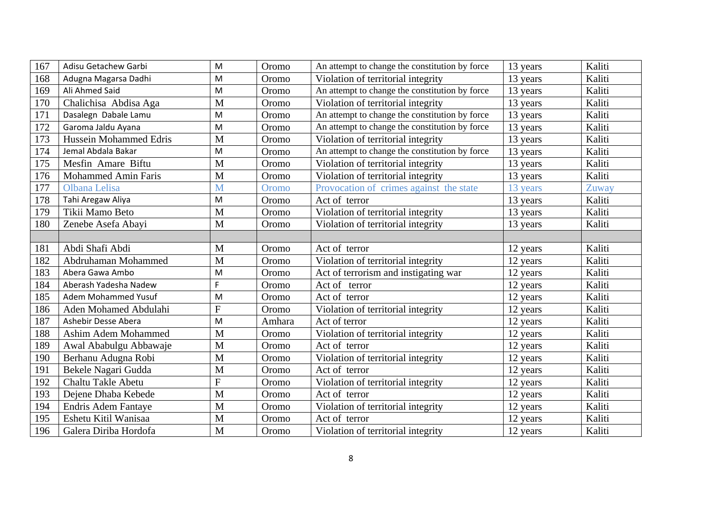| 167 | Adisu Getachew Garbi          | M | Oromo  | An attempt to change the constitution by force | 13 years | Kaliti |
|-----|-------------------------------|---|--------|------------------------------------------------|----------|--------|
| 168 | Adugna Magarsa Dadhi          | M | Oromo  | Violation of territorial integrity             | 13 years | Kaliti |
| 169 | Ali Ahmed Said                | M | Oromo  | An attempt to change the constitution by force | 13 years | Kaliti |
| 170 | Chalichisa Abdisa Aga         | M | Oromo  | Violation of territorial integrity             | 13 years | Kaliti |
| 171 | Dasalegn Dabale Lamu          | M | Oromo  | An attempt to change the constitution by force | 13 years | Kaliti |
| 172 | Garoma Jaldu Ayana            | M | Oromo  | An attempt to change the constitution by force | 13 years | Kaliti |
| 173 | <b>Hussein Mohammed Edris</b> | M | Oromo  | Violation of territorial integrity             | 13 years | Kaliti |
| 174 | Jemal Abdala Bakar            | M | Oromo  | An attempt to change the constitution by force | 13 years | Kaliti |
| 175 | Mesfin Amare Biftu            | M | Oromo  | Violation of territorial integrity             | 13 years | Kaliti |
| 176 | <b>Mohammed Amin Faris</b>    | M | Oromo  | Violation of territorial integrity             | 13 years | Kaliti |
| 177 | Olbana Lelisa                 | M | Oromo  | Provocation of crimes against the state        | 13 years | Zuway  |
| 178 | Tahi Aregaw Aliya             | M | Oromo  | Act of terror                                  | 13 years | Kaliti |
| 179 | Tikii Mamo Beto               | M | Oromo  | Violation of territorial integrity             | 13 years | Kaliti |
| 180 | Zenebe Asefa Abayi            | M | Oromo  | Violation of territorial integrity             | 13 years | Kaliti |
|     |                               |   |        |                                                |          |        |
| 181 | Abdi Shafi Abdi               | M | Oromo  | Act of terror                                  | 12 years | Kaliti |
| 182 | Abdruhaman Mohammed           | M | Oromo  | Violation of territorial integrity             | 12 years | Kaliti |
| 183 | Abera Gawa Ambo               | M | Oromo  | Act of terrorism and instigating war           | 12 years | Kaliti |
| 184 | Aberash Yadesha Nadew         | F | Oromo  | Act of terror                                  | 12 years | Kaliti |
| 185 | Adem Mohammed Yusuf           | M | Oromo  | Act of terror                                  | 12 years | Kaliti |
| 186 | Aden Mohamed Abdulahi         | F | Oromo  | Violation of territorial integrity             | 12 years | Kaliti |
| 187 | Ashebir Desse Abera           | M | Amhara | Act of terror                                  | 12 years | Kaliti |
| 188 | Ashim Adem Mohammed           | M | Oromo  | Violation of territorial integrity             | 12 years | Kaliti |
| 189 | Awal Ababulgu Abbawaje        | M | Oromo  | Act of terror                                  | 12 years | Kaliti |
| 190 | Berhanu Adugna Robi           | M | Oromo  | Violation of territorial integrity             | 12 years | Kaliti |
| 191 | Bekele Nagari Gudda           | M | Oromo  | Act of terror                                  | 12 years | Kaliti |
| 192 | Chaltu Takle Abetu            | F | Oromo  | Violation of territorial integrity             | 12 years | Kaliti |
| 193 | Dejene Dhaba Kebede           | M | Oromo  | Act of terror                                  | 12 years | Kaliti |
| 194 | <b>Endris Adem Fantaye</b>    | M | Oromo  | Violation of territorial integrity             | 12 years | Kaliti |
| 195 | Eshetu Kitil Wanisaa          | M | Oromo  | Act of terror                                  | 12 years | Kaliti |
| 196 | Galera Diriba Hordofa         | M | Oromo  | Violation of territorial integrity             | 12 years | Kaliti |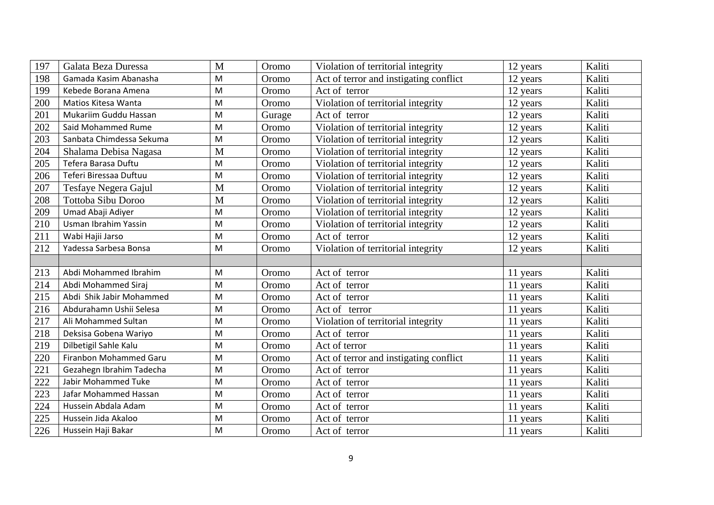| 197 | Galata Beza Duressa      | $\mathbf{M}$ | Oromo  | Violation of territorial integrity     | 12 years | Kaliti |
|-----|--------------------------|--------------|--------|----------------------------------------|----------|--------|
| 198 | Gamada Kasim Abanasha    | M            | Oromo  | Act of terror and instigating conflict | 12 years | Kaliti |
| 199 | Kebede Borana Amena      | M            | Oromo  | Act of terror                          | 12 years | Kaliti |
| 200 | Matios Kitesa Wanta      | M            | Oromo  | Violation of territorial integrity     | 12 years | Kaliti |
| 201 | Mukariim Guddu Hassan    | M            | Gurage | Act of terror                          | 12 years | Kaliti |
| 202 | Said Mohammed Rume       | M            | Oromo  | Violation of territorial integrity     | 12 years | Kaliti |
| 203 | Sanbata Chimdessa Sekuma | M            | Oromo  | Violation of territorial integrity     | 12 years | Kaliti |
| 204 | Shalama Debisa Nagasa    | M            | Oromo  | Violation of territorial integrity     | 12 years | Kaliti |
| 205 | Tefera Barasa Duftu      | M            | Oromo  | Violation of territorial integrity     | 12 years | Kaliti |
| 206 | Teferi Biressaa Duftuu   | M            | Oromo  | Violation of territorial integrity     | 12 years | Kaliti |
| 207 | Tesfaye Negera Gajul     | M            | Oromo  | Violation of territorial integrity     | 12 years | Kaliti |
| 208 | Tottoba Sibu Doroo       | M            | Oromo  | Violation of territorial integrity     | 12 years | Kaliti |
| 209 | Umad Abaji Adiyer        | M            | Oromo  | Violation of territorial integrity     | 12 years | Kaliti |
| 210 | Usman Ibrahim Yassin     | M            | Oromo  | Violation of territorial integrity     | 12 years | Kaliti |
| 211 | Wabi Hajii Jarso         | M            | Oromo  | Act of terror                          | 12 years | Kaliti |
| 212 | Yadessa Sarbesa Bonsa    | M            | Oromo  | Violation of territorial integrity     | 12 years | Kaliti |
|     |                          |              |        |                                        |          |        |
| 213 | Abdi Mohammed Ibrahim    | M            | Oromo  | Act of terror                          | 11 years | Kaliti |
| 214 | Abdi Mohammed Siraj      | M            | Oromo  | Act of terror                          | 11 years | Kaliti |
| 215 | Abdi Shik Jabir Mohammed | M            | Oromo  | Act of terror                          | 11 years | Kaliti |
| 216 | Abdurahamn Ushii Selesa  | M            | Oromo  | Act of terror                          | 11 years | Kaliti |
| 217 | Ali Mohammed Sultan      | M            | Oromo  | Violation of territorial integrity     | 11 years | Kaliti |
| 218 | Deksisa Gobena Wariyo    | M            | Oromo  | Act of terror                          | 11 years | Kaliti |
| 219 | Dilbetigil Sahle Kalu    | M            | Oromo  | Act of terror                          | 11 years | Kaliti |
| 220 | Firanbon Mohammed Garu   | M            | Oromo  | Act of terror and instigating conflict | 11 years | Kaliti |
| 221 | Gezahegn Ibrahim Tadecha | M            | Oromo  | Act of terror                          | 11 years | Kaliti |
| 222 | Jabir Mohammed Tuke      | M            | Oromo  | Act of terror                          | 11 years | Kaliti |
| 223 | Jafar Mohammed Hassan    | M            | Oromo  | Act of terror                          | 11 years | Kaliti |
| 224 | Hussein Abdala Adam      | M            | Oromo  | Act of terror                          | 11 years | Kaliti |
| 225 | Hussein Jida Akaloo      | M            | Oromo  | Act of terror                          | 11 years | Kaliti |
| 226 | Hussein Haji Bakar       | M            | Oromo  | Act of terror                          | 11 years | Kaliti |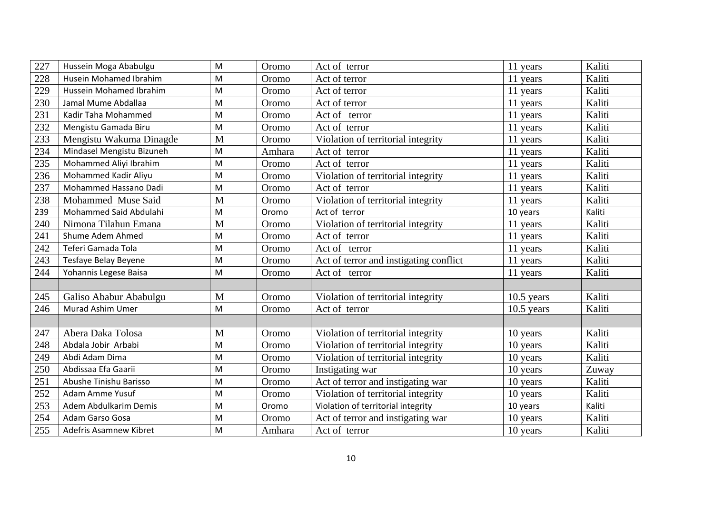| 227 | Hussein Moga Ababulgu     | M         | Oromo  | Act of terror                          | 11 years     | Kaliti |
|-----|---------------------------|-----------|--------|----------------------------------------|--------------|--------|
| 228 | Husein Mohamed Ibrahim    | M         | Oromo  | Act of terror                          | 11 years     | Kaliti |
| 229 | Hussein Mohamed Ibrahim   | M         | Oromo  | Act of terror                          | 11 years     | Kaliti |
| 230 | Jamal Mume Abdallaa       | M         | Oromo  | Act of terror                          | 11 years     | Kaliti |
| 231 | Kadir Taha Mohammed       | M         | Oromo  | Act of terror                          | 11 years     | Kaliti |
| 232 | Mengistu Gamada Biru      | M         | Oromo  | Act of terror                          | 11 years     | Kaliti |
| 233 | Mengistu Wakuma Dinagde   | M         | Oromo  | Violation of territorial integrity     | 11 years     | Kaliti |
| 234 | Mindasel Mengistu Bizuneh | M         | Amhara | Act of terror                          | 11 years     | Kaliti |
| 235 | Mohammed Aliyi Ibrahim    | M         | Oromo  | Act of terror                          | 11 years     | Kaliti |
| 236 | Mohammed Kadir Aliyu      | ${\sf M}$ | Oromo  | Violation of territorial integrity     | 11 years     | Kaliti |
| 237 | Mohammed Hassano Dadi     | M         | Oromo  | Act of terror                          | 11 years     | Kaliti |
| 238 | Mohammed Muse Said        | M         | Oromo  | Violation of territorial integrity     | 11 years     | Kaliti |
| 239 | Mohammed Said Abdulahi    | M         | Oromo  | Act of terror                          | 10 years     | Kaliti |
| 240 | Nimona Tilahun Emana      | M         | Oromo  | Violation of territorial integrity     | 11 years     | Kaliti |
| 241 | Shume Adem Ahmed          | M         | Oromo  | Act of terror                          | 11 years     | Kaliti |
| 242 | Teferi Gamada Tola        | M         | Oromo  | Act of terror                          | 11 years     | Kaliti |
| 243 | Tesfaye Belay Beyene      | M         | Oromo  | Act of terror and instigating conflict | 11 years     | Kaliti |
| 244 | Yohannis Legese Baisa     | M         | Oromo  | Act of terror                          | 11 years     | Kaliti |
|     |                           |           |        |                                        |              |        |
| 245 | Galiso Ababur Ababulgu    | M         | Oromo  | Violation of territorial integrity     | $10.5$ years | Kaliti |
| 246 | Murad Ashim Umer          | M         | Oromo  | Act of terror                          | $10.5$ years | Kaliti |
|     |                           |           |        |                                        |              |        |
| 247 | Abera Daka Tolosa         | M         | Oromo  | Violation of territorial integrity     | 10 years     | Kaliti |
| 248 | Abdala Jobir Arbabi       | M         | Oromo  | Violation of territorial integrity     | 10 years     | Kaliti |
| 249 | Abdi Adam Dima            | M         | Oromo  | Violation of territorial integrity     | 10 years     | Kaliti |
| 250 | Abdissaa Efa Gaarii       | M         | Oromo  | Instigating war                        | 10 years     | Zuway  |
| 251 | Abushe Tinishu Barisso    | M         | Oromo  | Act of terror and instigating war      | 10 years     | Kaliti |
| 252 | Adam Amme Yusuf           | M         | Oromo  | Violation of territorial integrity     | 10 years     | Kaliti |
| 253 | Adem Abdulkarim Demis     | M         | Oromo  | Violation of territorial integrity     | 10 years     | Kaliti |
| 254 | Adam Garso Gosa           | M         | Oromo  | Act of terror and instigating war      | 10 years     | Kaliti |
| 255 | Adefris Asamnew Kibret    | M         | Amhara | Act of terror                          | 10 years     | Kaliti |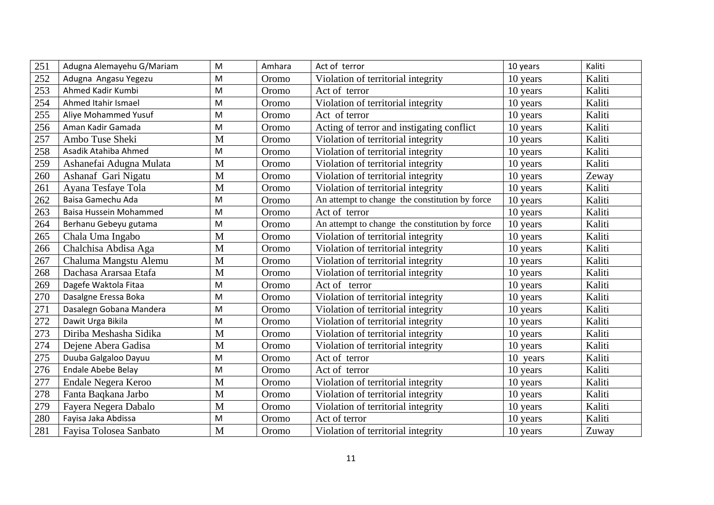| 251 | Adugna Alemayehu G/Mariam | M            | Amhara | Act of terror                                  | 10 years | Kaliti |
|-----|---------------------------|--------------|--------|------------------------------------------------|----------|--------|
| 252 | Adugna Angasu Yegezu      | M            | Oromo  | Violation of territorial integrity             | 10 years | Kaliti |
| 253 | Ahmed Kadir Kumbi         | M            | Oromo  | Act of terror                                  | 10 years | Kaliti |
| 254 | Ahmed Itahir Ismael       | M            | Oromo  | Violation of territorial integrity             | 10 years | Kaliti |
| 255 | Aliye Mohammed Yusuf      | M            | Oromo  | Act of terror                                  | 10 years | Kaliti |
| 256 | Aman Kadir Gamada         | M            | Oromo  | Acting of terror and instigating conflict      | 10 years | Kaliti |
| 257 | Ambo Tuse Sheki           | M            | Oromo  | Violation of territorial integrity             | 10 years | Kaliti |
| 258 | Asadik Atahiba Ahmed      | M            | Oromo  | Violation of territorial integrity             | 10 years | Kaliti |
| 259 | Ashanefai Adugna Mulata   | M            | Oromo  | Violation of territorial integrity             | 10 years | Kaliti |
| 260 | Ashanaf Gari Nigatu       | M            | Oromo  | Violation of territorial integrity             | 10 years | Zeway  |
| 261 | Ayana Tesfaye Tola        | M            | Oromo  | Violation of territorial integrity             | 10 years | Kaliti |
| 262 | Baisa Gamechu Ada         | M            | Oromo  | An attempt to change the constitution by force | 10 years | Kaliti |
| 263 | Baisa Hussein Mohammed    | M            | Oromo  | Act of terror                                  | 10 years | Kaliti |
| 264 | Berhanu Gebeyu gutama     | M            | Oromo  | An attempt to change the constitution by force | 10 years | Kaliti |
| 265 | Chala Uma Ingabo          | M            | Oromo  | Violation of territorial integrity             | 10 years | Kaliti |
| 266 | Chalchisa Abdisa Aga      | M            | Oromo  | Violation of territorial integrity             | 10 years | Kaliti |
| 267 | Chaluma Mangstu Alemu     | M            | Oromo  | Violation of territorial integrity             | 10 years | Kaliti |
| 268 | Dachasa Ararsaa Etafa     | M            | Oromo  | Violation of territorial integrity             | 10 years | Kaliti |
| 269 | Dagefe Waktola Fitaa      | M            | Oromo  | Act of terror                                  | 10 years | Kaliti |
| 270 | Dasalgne Eressa Boka      | M            | Oromo  | Violation of territorial integrity             | 10 years | Kaliti |
| 271 | Dasalegn Gobana Mandera   | M            | Oromo  | Violation of territorial integrity             | 10 years | Kaliti |
| 272 | Dawit Urga Bikila         | M            | Oromo  | Violation of territorial integrity             | 10 years | Kaliti |
| 273 | Diriba Meshasha Sidika    | M            | Oromo  | Violation of territorial integrity             | 10 years | Kaliti |
| 274 | Dejene Abera Gadisa       | M            | Oromo  | Violation of territorial integrity             | 10 years | Kaliti |
| 275 | Duuba Galgaloo Dayuu      | M            | Oromo  | Act of terror                                  | 10 years | Kaliti |
| 276 | Endale Abebe Belay        | M            | Oromo  | Act of terror                                  | 10 years | Kaliti |
| 277 | Endale Negera Keroo       | M            | Oromo  | Violation of territorial integrity             | 10 years | Kaliti |
| 278 | Fanta Baqkana Jarbo       | M            | Oromo  | Violation of territorial integrity             | 10 years | Kaliti |
| 279 | Fayera Negera Dabalo      | M            | Oromo  | Violation of territorial integrity             | 10 years | Kaliti |
| 280 | Fayisa Jaka Abdissa       | M            | Oromo  | Act of terror                                  | 10 years | Kaliti |
| 281 | Fayisa Tolosea Sanbato    | $\mathbf{M}$ | Oromo  | Violation of territorial integrity             | 10 years | Zuway  |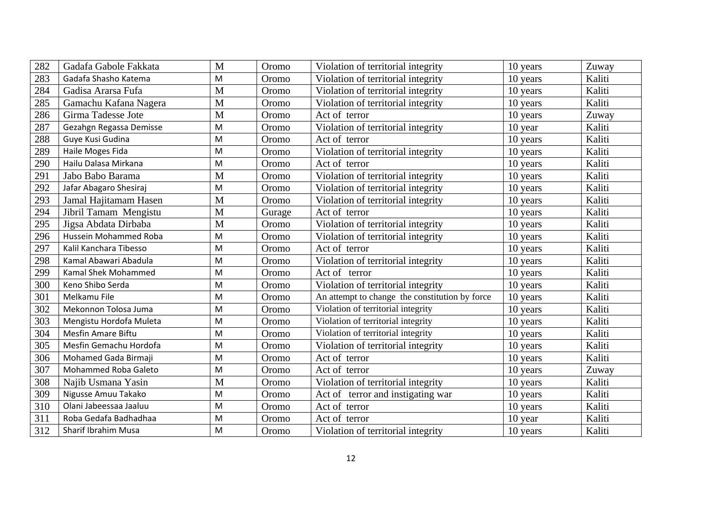| 282 | Gadafa Gabole Fakkata   | M | Oromo  | Violation of territorial integrity             | 10 years | Zuway  |
|-----|-------------------------|---|--------|------------------------------------------------|----------|--------|
| 283 | Gadafa Shasho Katema    | M | Oromo  | Violation of territorial integrity             | 10 years | Kaliti |
| 284 | Gadisa Ararsa Fufa      | M | Oromo  | Violation of territorial integrity             | 10 years | Kaliti |
| 285 | Gamachu Kafana Nagera   | M | Oromo  | Violation of territorial integrity             | 10 years | Kaliti |
| 286 | Girma Tadesse Jote      | M | Oromo  | Act of terror                                  | 10 years | Zuway  |
| 287 | Gezahgn Regassa Demisse | M | Oromo  | Violation of territorial integrity             | 10 year  | Kaliti |
| 288 | Guye Kusi Gudina        | M | Oromo  | Act of terror                                  | 10 years | Kaliti |
| 289 | Haile Moges Fida        | M | Oromo  | Violation of territorial integrity             | 10 years | Kaliti |
| 290 | Hailu Dalasa Mirkana    | M | Oromo  | Act of terror                                  | 10 years | Kaliti |
| 291 | Jabo Babo Barama        | M | Oromo  | Violation of territorial integrity             | 10 years | Kaliti |
| 292 | Jafar Abagaro Shesiraj  | M | Oromo  | Violation of territorial integrity             | 10 years | Kaliti |
| 293 | Jamal Hajitamam Hasen   | M | Oromo  | Violation of territorial integrity             | 10 years | Kaliti |
| 294 | Jibril Tamam Mengistu   | M | Gurage | Act of terror                                  | 10 years | Kaliti |
| 295 | Jigsa Abdata Dirbaba    | M | Oromo  | Violation of territorial integrity             | 10 years | Kaliti |
| 296 | Hussein Mohammed Roba   | M | Oromo  | Violation of territorial integrity             | 10 years | Kaliti |
| 297 | Kalil Kanchara Tibesso  | M | Oromo  | Act of terror                                  | 10 years | Kaliti |
| 298 | Kamal Abawari Abadula   | M | Oromo  | Violation of territorial integrity             | 10 years | Kaliti |
| 299 | Kamal Shek Mohammed     | M | Oromo  | Act of terror                                  | 10 years | Kaliti |
| 300 | Keno Shibo Serda        | M | Oromo  | Violation of territorial integrity             | 10 years | Kaliti |
| 301 | Melkamu File            | M | Oromo  | An attempt to change the constitution by force | 10 years | Kaliti |
| 302 | Mekonnon Tolosa Juma    | M | Oromo  | Violation of territorial integrity             | 10 years | Kaliti |
| 303 | Mengistu Hordofa Muleta | M | Oromo  | Violation of territorial integrity             | 10 years | Kaliti |
| 304 | Mesfin Amare Biftu      | M | Oromo  | Violation of territorial integrity             | 10 years | Kaliti |
| 305 | Mesfin Gemachu Hordofa  | M | Oromo  | Violation of territorial integrity             | 10 years | Kaliti |
| 306 | Mohamed Gada Birmaji    | M | Oromo  | Act of terror                                  | 10 years | Kaliti |
| 307 | Mohammed Roba Galeto    | M | Oromo  | Act of terror                                  | 10 years | Zuway  |
| 308 | Najib Usmana Yasin      | M | Oromo  | Violation of territorial integrity             | 10 years | Kaliti |
| 309 | Nigusse Amuu Takako     | M | Oromo  | Act of terror and instigating war              | 10 years | Kaliti |
| 310 | Olani Jabeessaa Jaaluu  | M | Oromo  | Act of terror                                  | 10 years | Kaliti |
| 311 | Roba Gedafa Badhadhaa   | M | Oromo  | Act of terror                                  | 10 year  | Kaliti |
| 312 | Sharif Ibrahim Musa     | M | Oromo  | Violation of territorial integrity             | 10 years | Kaliti |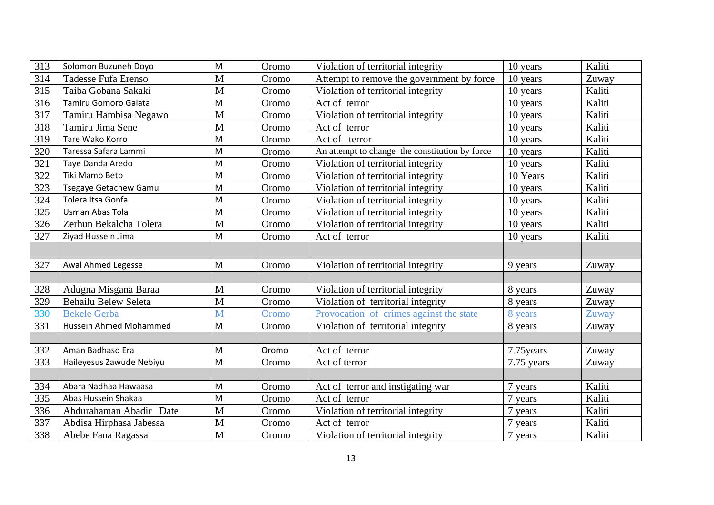| 313 | Solomon Buzuneh Doyo         | M | Oromo | Violation of territorial integrity             | 10 years   | Kaliti |
|-----|------------------------------|---|-------|------------------------------------------------|------------|--------|
| 314 | Tadesse Fufa Erenso          | M | Oromo | Attempt to remove the government by force      | 10 years   | Zuway  |
| 315 | Taiba Gobana Sakaki          | M | Oromo | Violation of territorial integrity             | 10 years   | Kaliti |
| 316 | Tamiru Gomoro Galata         | M | Oromo | Act of terror                                  | 10 years   | Kaliti |
| 317 | Tamiru Hambisa Negawo        | M | Oromo | Violation of territorial integrity             | 10 years   | Kaliti |
| 318 | Tamiru Jima Sene             | M | Oromo | Act of terror                                  | 10 years   | Kaliti |
| 319 | Tare Wako Korro              | M | Oromo | Act of terror                                  | 10 years   | Kaliti |
| 320 | Taressa Safara Lammi         | M | Oromo | An attempt to change the constitution by force | 10 years   | Kaliti |
| 321 | Taye Danda Aredo             | M | Oromo | Violation of territorial integrity             | 10 years   | Kaliti |
| 322 | Tiki Mamo Beto               | M | Oromo | Violation of territorial integrity             | 10 Years   | Kaliti |
| 323 | <b>Tsegaye Getachew Gamu</b> | M | Oromo | Violation of territorial integrity             | 10 years   | Kaliti |
| 324 | Tolera Itsa Gonfa            | M | Oromo | Violation of territorial integrity             | 10 years   | Kaliti |
| 325 | Usman Abas Tola              | M | Oromo | Violation of territorial integrity             | 10 years   | Kaliti |
| 326 | Zerhun Bekalcha Tolera       | M | Oromo | Violation of territorial integrity             | 10 years   | Kaliti |
| 327 | Ziyad Hussein Jima           | M | Oromo | Act of terror                                  | 10 years   | Kaliti |
|     |                              |   |       |                                                |            |        |
| 327 | Awal Ahmed Legesse           | M | Oromo | Violation of territorial integrity             | 9 years    | Zuway  |
|     |                              |   |       |                                                |            |        |
| 328 | Adugna Misgana Baraa         | M | Oromo | Violation of territorial integrity             | 8 years    | Zuway  |
| 329 | Behailu Belew Seleta         | M | Oromo | Violation of territorial integrity             | 8 years    | Zuway  |
| 330 | <b>Bekele Gerba</b>          | M | Oromo | Provocation of crimes against the state        | 8 years    | Zuway  |
| 331 | Hussein Ahmed Mohammed       | M | Oromo | Violation of territorial integrity             | 8 years    | Zuway  |
|     |                              |   |       |                                                |            |        |
| 332 | Aman Badhaso Era             | M | Oromo | Act of terror                                  | 7.75 years | Zuway  |
| 333 | Haileyesus Zawude Nebiyu     | M | Oromo | Act of terror                                  | 7.75 years | Zuway  |
|     |                              |   |       |                                                |            |        |
| 334 | Abara Nadhaa Hawaasa         | M | Oromo | Act of terror and instigating war              | 7 years    | Kaliti |
| 335 | Abas Hussein Shakaa          | M | Oromo | Act of terror                                  | 7 years    | Kaliti |
| 336 | Abdurahaman Abadir Date      | M | Oromo | Violation of territorial integrity             | 7 years    | Kaliti |
| 337 | Abdisa Hirphasa Jabessa      | M | Oromo | Act of terror                                  | 7 years    | Kaliti |
| 338 | Abebe Fana Ragassa           | M | Oromo | Violation of territorial integrity             | 7 years    | Kaliti |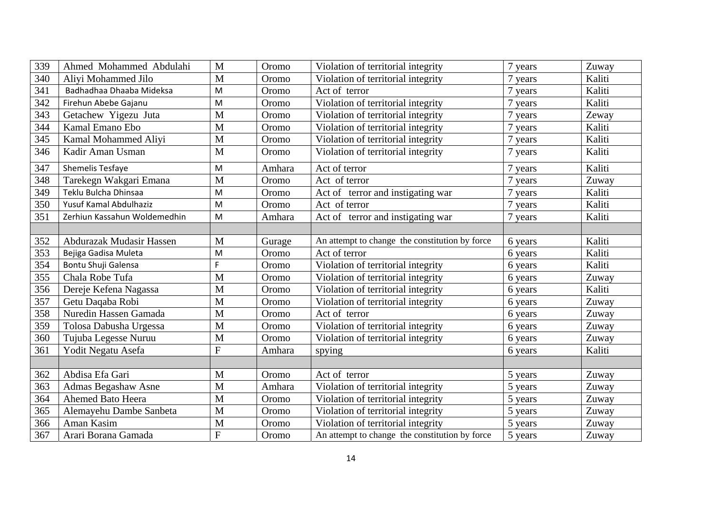| 339 | Ahmed Mohammed Abdulahi      | M              | Oromo  | Violation of territorial integrity             | 7 years    | Zuway  |
|-----|------------------------------|----------------|--------|------------------------------------------------|------------|--------|
| 340 | Aliyi Mohammed Jilo          | M              | Oromo  | Violation of territorial integrity             | 7 years    | Kaliti |
| 341 | Badhadhaa Dhaaba Mideksa     | M              | Oromo  | Act of terror                                  | 7 years    | Kaliti |
| 342 | Firehun Abebe Gajanu         | M              | Oromo  | Violation of territorial integrity             | 7 years    | Kaliti |
| 343 | Getachew Yigezu Juta         | M              | Oromo  | Violation of territorial integrity             | 7<br>years | Zeway  |
| 344 | Kamal Emano Ebo              | M              | Oromo  | Violation of territorial integrity             | 7 years    | Kaliti |
| 345 | Kamal Mohammed Aliyi         | M              | Oromo  | Violation of territorial integrity             | 7 years    | Kaliti |
| 346 | Kadir Aman Usman             | $\mathbf M$    | Oromo  | Violation of territorial integrity             | 7 years    | Kaliti |
| 347 | Shemelis Tesfaye             | M              | Amhara | Act of terror                                  | 7 years    | Kaliti |
| 348 | Tarekegn Wakgari Emana       | M              | Oromo  | Act of terror                                  | 7 years    | Zuway  |
| 349 | Teklu Bulcha Dhinsaa         | M              | Oromo  | Act of terror and instigating war              | 7 years    | Kaliti |
| 350 | Yusuf Kamal Abdulhaziz       | M              | Oromo  | Act of terror                                  | 7 years    | Kaliti |
| 351 | Zerhiun Kassahun Woldemedhin | M              | Amhara | Act of terror and instigating war              | 7 years    | Kaliti |
|     |                              |                |        |                                                |            |        |
| 352 | Abdurazak Mudasir Hassen     | M              | Gurage | An attempt to change the constitution by force | 6 years    | Kaliti |
| 353 | Bejiga Gadisa Muleta         | M              | Oromo  | Act of terror                                  | 6 years    | Kaliti |
| 354 | Bontu Shuji Galensa          | F              | Oromo  | Violation of territorial integrity             | 6 years    | Kaliti |
| 355 | Chala Robe Tufa              | M              | Oromo  | Violation of territorial integrity             | 6 years    | Zuway  |
| 356 | Dereje Kefena Nagassa        | M              | Oromo  | Violation of territorial integrity             | 6 years    | Kaliti |
| 357 | Getu Daqaba Robi             | M              | Oromo  | Violation of territorial integrity             | 6 years    | Zuway  |
| 358 | Nuredin Hassen Gamada        | M              | Oromo  | Act of terror                                  | 6 years    | Zuway  |
| 359 | Tolosa Dabusha Urgessa       | M              | Oromo  | Violation of territorial integrity             | 6 years    | Zuway  |
| 360 | Tujuba Legesse Nuruu         | M              | Oromo  | Violation of territorial integrity             | 6 years    | Zuway  |
| 361 | Yodit Negatu Asefa           | $\overline{F}$ | Amhara | spying                                         | 6 years    | Kaliti |
|     |                              |                |        |                                                |            |        |
| 362 | Abdisa Efa Gari              | M              | Oromo  | Act of terror                                  | 5 years    | Zuway  |
| 363 | Admas Begashaw Asne          | M              | Amhara | Violation of territorial integrity             | 5 years    | Zuway  |
| 364 | Ahemed Bato Heera            | M              | Oromo  | Violation of territorial integrity             | 5 years    | Zuway  |
| 365 | Alemayehu Dambe Sanbeta      | M              | Oromo  | Violation of territorial integrity             | 5 years    | Zuway  |
| 366 | Aman Kasim                   | M              | Oromo  | Violation of territorial integrity             | 5 years    | Zuway  |
| 367 | Arari Borana Gamada          | $\overline{F}$ | Oromo  | An attempt to change the constitution by force | 5 years    | Zuway  |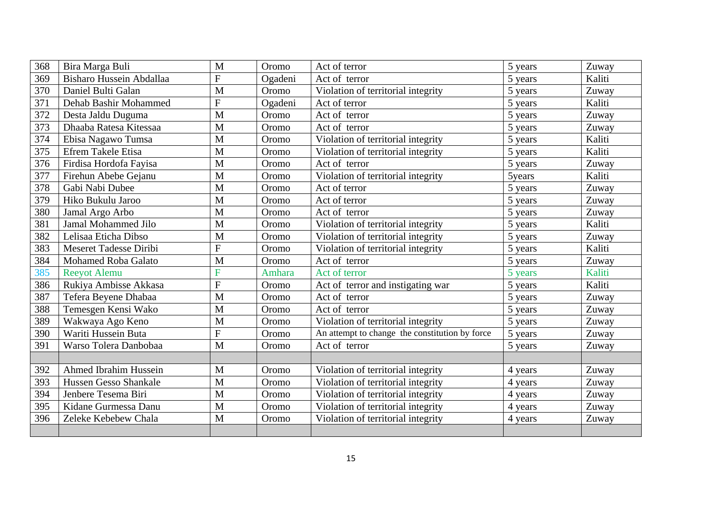| 368 | Bira Marga Buli            | $\overline{M}$ | Oromo   | Act of terror                                  | 5 years | Zuway  |
|-----|----------------------------|----------------|---------|------------------------------------------------|---------|--------|
| 369 | Bisharo Hussein Abdallaa   | $\overline{F}$ | Ogadeni | Act of terror                                  | 5 years | Kaliti |
| 370 | Daniel Bulti Galan         | $\mathbf{M}$   | Oromo   | Violation of territorial integrity             | 5 years | Zuway  |
| 371 | Dehab Bashir Mohammed      | $\overline{F}$ | Ogadeni | Act of terror                                  | 5 years | Kaliti |
| 372 | Desta Jaldu Duguma         | M              | Oromo   | Act of terror                                  | 5 years | Zuway  |
| 373 | Dhaaba Ratesa Kitessaa     | M              | Oromo   | Act of terror                                  | 5 years | Zuway  |
| 374 | Ebisa Nagawo Tumsa         | M              | Oromo   | Violation of territorial integrity             | 5 years | Kaliti |
| 375 | <b>Efrem Takele Etisa</b>  | M              | Oromo   | Violation of territorial integrity             | 5 years | Kaliti |
| 376 | Firdisa Hordofa Fayisa     | M              | Oromo   | Act of terror                                  | 5 years | Zuway  |
| 377 | Firehun Abebe Gejanu       | M              | Oromo   | Violation of territorial integrity             | 5years  | Kaliti |
| 378 | Gabi Nabi Dubee            | M              | Oromo   | Act of terror                                  | 5 years | Zuway  |
| 379 | Hiko Bukulu Jaroo          | M              | Oromo   | Act of terror                                  | 5 years | Zuway  |
| 380 | Jamal Argo Arbo            | M              | Oromo   | Act of terror                                  | 5 years | Zuway  |
| 381 | <b>Jamal Mohammed Jilo</b> | M              | Oromo   | Violation of territorial integrity             | 5 years | Kaliti |
| 382 | Lelisaa Eticha Dibso       | M              | Oromo   | Violation of territorial integrity             | 5 years | Zuway  |
| 383 | Meseret Tadesse Diribi     | $\overline{F}$ | Oromo   | Violation of territorial integrity             | 5 years | Kaliti |
| 384 | <b>Mohamed Roba Galato</b> | M              | Oromo   | Act of terror                                  | 5 years | Zuway  |
| 385 | <b>Reeyot Alemu</b>        | F              | Amhara  | Act of terror                                  | 5 years | Kaliti |
| 386 | Rukiya Ambisse Akkasa      | $\overline{F}$ | Oromo   | Act of terror and instigating war              | 5 years | Kaliti |
| 387 | Tefera Beyene Dhabaa       | M              | Oromo   | Act of terror                                  | 5 years | Zuway  |
| 388 | Temesgen Kensi Wako        | M              | Oromo   | Act of terror                                  | 5 years | Zuway  |
| 389 | Wakwaya Ago Keno           | M              | Oromo   | Violation of territorial integrity             | 5 years | Zuway  |
| 390 | Wariti Hussein Buta        | F              | Oromo   | An attempt to change the constitution by force | 5 years | Zuway  |
| 391 | Warso Tolera Danbobaa      | M              | Oromo   | Act of terror                                  | 5 years | Zuway  |
|     |                            |                |         |                                                |         |        |
| 392 | Ahmed Ibrahim Hussein      | M              | Oromo   | Violation of territorial integrity             | 4 years | Zuway  |
| 393 | Hussen Gesso Shankale      | M              | Oromo   | Violation of territorial integrity             | 4 years | Zuway  |
| 394 | Jenbere Tesema Biri        | M              | Oromo   | Violation of territorial integrity             | 4 years | Zuway  |
| 395 | Kidane Gurmessa Danu       | M              | Oromo   | Violation of territorial integrity             | 4 years | Zuway  |
| 396 | Zeleke Kebebew Chala       | M              | Oromo   | Violation of territorial integrity             | 4 years | Zuway  |
|     |                            |                |         |                                                |         |        |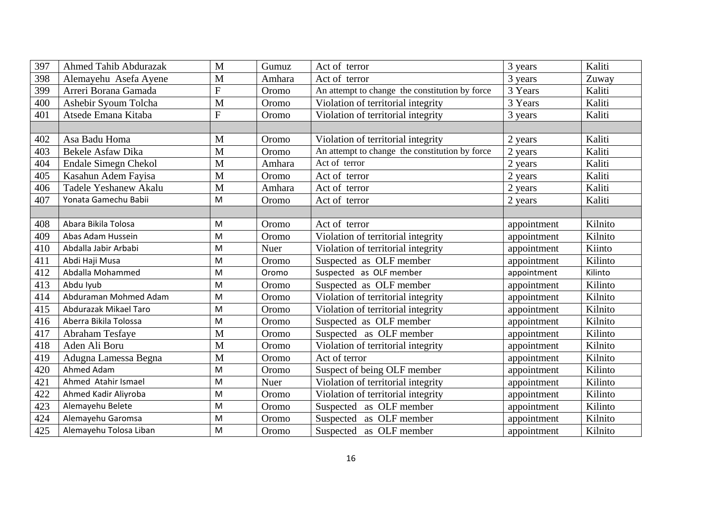| 397 | <b>Ahmed Tahib Abdurazak</b> | M | Gumuz  | Act of terror                                  | 3 years     | Kaliti  |
|-----|------------------------------|---|--------|------------------------------------------------|-------------|---------|
| 398 | Alemayehu Asefa Ayene        | M | Amhara | Act of terror                                  | 3 years     | Zuway   |
| 399 | Arreri Borana Gamada         | F | Oromo  | An attempt to change the constitution by force | 3 Years     | Kaliti  |
| 400 | Ashebir Syoum Tolcha         | M | Oromo  | Violation of territorial integrity             | 3 Years     | Kaliti  |
| 401 | Atsede Emana Kitaba          | F | Oromo  | Violation of territorial integrity             | 3 years     | Kaliti  |
|     |                              |   |        |                                                |             |         |
| 402 | Asa Badu Homa                | M | Oromo  | Violation of territorial integrity             | 2 years     | Kaliti  |
| 403 | Bekele Asfaw Dika            | M | Oromo  | An attempt to change the constitution by force | 2 years     | Kaliti  |
| 404 | Endale Simegn Chekol         | M | Amhara | Act of terror                                  | 2 years     | Kaliti  |
| 405 | Kasahun Adem Fayisa          | M | Oromo  | Act of terror                                  | 2 years     | Kaliti  |
| 406 | Tadele Yeshanew Akalu        | M | Amhara | Act of terror                                  | 2 years     | Kaliti  |
| 407 | Yonata Gamechu Babii         | M | Oromo  | Act of terror                                  | 2 years     | Kaliti  |
|     |                              |   |        |                                                |             |         |
| 408 | Abara Bikila Tolosa          | M | Oromo  | Act of terror                                  | appointment | Kilnito |
| 409 | Abas Adam Hussein            | M | Oromo  | Violation of territorial integrity             | appointment | Kilnito |
| 410 | Abdalla Jabir Arbabi         | M | Nuer   | Violation of territorial integrity             | appointment | Kiinto  |
| 411 | Abdi Haji Musa               | M | Oromo  | Suspected as OLF member                        | appointment | Kilinto |
| 412 | Abdalla Mohammed             | M | Oromo  | Suspected as OLF member                        | appointment | Kilinto |
| 413 | Abdu Iyub                    | M | Oromo  | Suspected as OLF member                        | appointment | Kilinto |
| 414 | Abduraman Mohmed Adam        | M | Oromo  | Violation of territorial integrity             | appointment | Kilnito |
| 415 | Abdurazak Mikael Taro        | M | Oromo  | Violation of territorial integrity             | appointment | Kilnito |
| 416 | Aberra Bikila Tolossa        | M | Oromo  | Suspected as OLF member                        | appointment | Kilnito |
| 417 | Abraham Tesfaye              | M | Oromo  | Suspected as OLF member                        | appointment | Kilinto |
| 418 | Aden Ali Boru                | M | Oromo  | Violation of territorial integrity             | appointment | Kilnito |
| 419 | Adugna Lamessa Begna         | M | Oromo  | Act of terror                                  | appointment | Kilnito |
| 420 | Ahmed Adam                   | M | Oromo  | Suspect of being OLF member                    | appointment | Kilinto |
| 421 | Ahmed Atahir Ismael          | M | Nuer   | Violation of territorial integrity             | appointment | Kilinto |
| 422 | Ahmed Kadir Aliyroba         | M | Oromo  | Violation of territorial integrity             | appointment | Kilinto |
| 423 | Alemayehu Belete             | M | Oromo  | Suspected as OLF member                        | appointment | Kilinto |
| 424 | Alemayehu Garomsa            | M | Oromo  | Suspected as OLF member                        | appointment | Kilnito |
| 425 | Alemayehu Tolosa Liban       | M | Oromo  | Suspected as OLF member                        | appointment | Kilnito |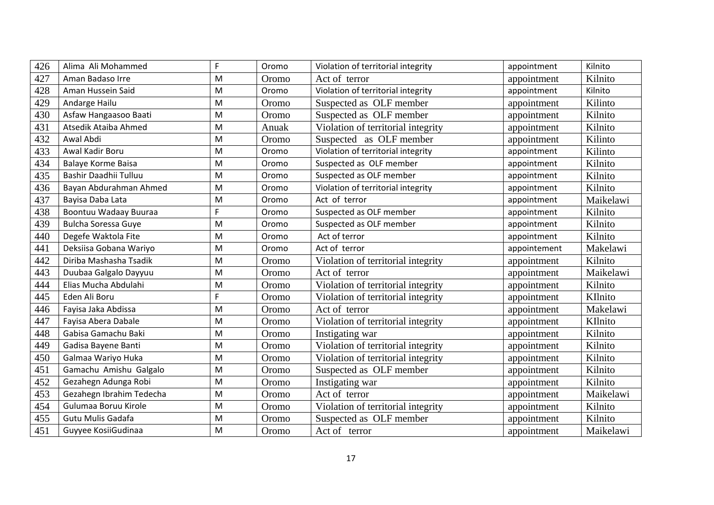| 426 | Alima Ali Mohammed         | F | Oromo | Violation of territorial integrity | appointment  | Kilnito   |
|-----|----------------------------|---|-------|------------------------------------|--------------|-----------|
| 427 | Aman Badaso Irre           | M | Oromo | Act of terror                      | appointment  | Kilnito   |
| 428 | Aman Hussein Said          | M | Oromo | Violation of territorial integrity | appointment  | Kilnito   |
| 429 | Andarge Hailu              | M | Oromo | Suspected as OLF member            | appointment  | Kilinto   |
| 430 | Asfaw Hangaasoo Baati      | M | Oromo | Suspected as OLF member            | appointment  | Kilnito   |
| 431 | Atsedik Ataiba Ahmed       | M | Anuak | Violation of territorial integrity | appointment  | Kilnito   |
| 432 | Awal Abdi                  | M | Oromo | Suspected as OLF member            | appointment  | Kilinto   |
| 433 | Awal Kadir Boru            | M | Oromo | Violation of territorial integrity | appointment  | Kilinto   |
| 434 | <b>Balaye Korme Baisa</b>  | M | Oromo | Suspected as OLF member            | appointment  | Kilnito   |
| 435 | Bashir Daadhii Tulluu      | M | Oromo | Suspected as OLF member            | appointment  | Kilnito   |
| 436 | Bayan Abdurahman Ahmed     | M | Oromo | Violation of territorial integrity | appointment  | Kilnito   |
| 437 | Bayisa Daba Lata           | M | Oromo | Act of terror                      | appointment  | Maikelawi |
| 438 | Boontuu Wadaay Buuraa      | F | Oromo | Suspected as OLF member            | appointment  | Kilnito   |
| 439 | <b>Bulcha Soressa Guye</b> | M | Oromo | Suspected as OLF member            | appointment  | Kilnito   |
| 440 | Degefe Waktola Fite        | M | Oromo | Act of terror                      | appointment  | Kilnito   |
| 441 | Deksiisa Gobana Wariyo     | M | Oromo | Act of terror                      | appointement | Makelawi  |
| 442 | Diriba Mashasha Tsadik     | M | Oromo | Violation of territorial integrity | appointment  | Kilnito   |
| 443 | Duubaa Galgalo Dayyuu      | M | Oromo | Act of terror                      | appointment  | Maikelawi |
| 444 | Elias Mucha Abdulahi       | M | Oromo | Violation of territorial integrity | appointment  | Kilnito   |
| 445 | Eden Ali Boru              | F | Oromo | Violation of territorial integrity | appointment  | KIlnito   |
| 446 | Fayisa Jaka Abdissa        | M | Oromo | Act of terror                      | appointment  | Makelawi  |
| 447 | Fayisa Abera Dabale        | M | Oromo | Violation of territorial integrity | appointment  | KIlnito   |
| 448 | Gabisa Gamachu Baki        | M | Oromo | Instigating war                    | appointment  | Kilnito   |
| 449 | Gadisa Bayene Banti        | M | Oromo | Violation of territorial integrity | appointment  | Kilnito   |
| 450 | Galmaa Wariyo Huka         | M | Oromo | Violation of territorial integrity | appointment  | Kilnito   |
| 451 | Gamachu Amishu Galgalo     | M | Oromo | Suspected as OLF member            | appointment  | Kilnito   |
| 452 | Gezahegn Adunga Robi       | M | Oromo | Instigating war                    | appointment  | Kilnito   |
| 453 | Gezahegn Ibrahim Tedecha   | M | Oromo | Act of terror                      | appointment  | Maikelawi |
| 454 | Gulumaa Boruu Kirole       | M | Oromo | Violation of territorial integrity | appointment  | Kilnito   |
| 455 | <b>Gutu Mulis Gadafa</b>   | M | Oromo | Suspected as OLF member            | appointment  | Kilnito   |
| 451 | Guyyee KosiiGudinaa        | M | Oromo | Act of terror                      | appointment  | Maikelawi |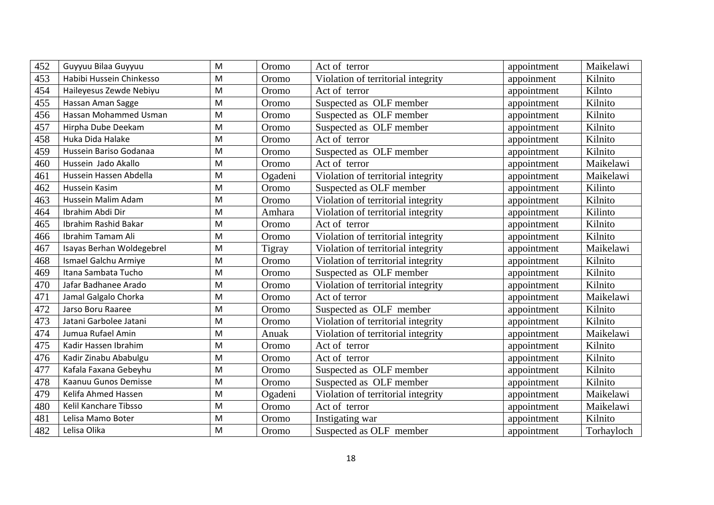| 452 | Guyyuu Bilaa Guyyuu       | M | Oromo   | Act of terror                      | appointment | Maikelawi  |
|-----|---------------------------|---|---------|------------------------------------|-------------|------------|
| 453 | Habibi Hussein Chinkesso  | M | Oromo   | Violation of territorial integrity | appoinment  | Kilnito    |
| 454 | Haileyesus Zewde Nebiyu   | M | Oromo   | Act of terror                      | appointment | Kilnto     |
| 455 | Hassan Aman Sagge         | M | Oromo   | Suspected as OLF member            | appointment | Kilnito    |
| 456 | Hassan Mohammed Usman     | M | Oromo   | Suspected as OLF member            | appointment | Kilnito    |
| 457 | Hirpha Dube Deekam        | M | Oromo   | Suspected as OLF member            | appointment | Kilnito    |
| 458 | Huka Dida Halake          | M | Oromo   | Act of terror                      | appointment | Kilnito    |
| 459 | Hussein Bariso Godanaa    | M | Oromo   | Suspected as OLF member            | appointment | Kilnito    |
| 460 | Hussein Jado Akallo       | M | Oromo   | Act of terror                      | appointment | Maikelawi  |
| 461 | Hussein Hassen Abdella    | M | Ogadeni | Violation of territorial integrity | appointment | Maikelawi  |
| 462 | Hussein Kasim             | M | Oromo   | Suspected as OLF member            | appointment | Kilinto    |
| 463 | Hussein Malim Adam        | M | Oromo   | Violation of territorial integrity | appointment | Kilnito    |
| 464 | Ibrahim Abdi Dir          | M | Amhara  | Violation of territorial integrity | appointment | Kilinto    |
| 465 | Ibrahim Rashid Bakar      | M | Oromo   | Act of terror                      | appointment | Kilnito    |
| 466 | Ibrahim Tamam Ali         | M | Oromo   | Violation of territorial integrity | appointment | Kilnito    |
| 467 | Isayas Berhan Woldegebrel | M | Tigray  | Violation of territorial integrity | appointment | Maikelawi  |
| 468 | Ismael Galchu Armiye      | M | Oromo   | Violation of territorial integrity | appointment | Kilnito    |
| 469 | Itana Sambata Tucho       | M | Oromo   | Suspected as OLF member            | appointment | Kilnito    |
| 470 | Jafar Badhanee Arado      | M | Oromo   | Violation of territorial integrity | appointment | Kilnito    |
| 471 | Jamal Galgalo Chorka      | M | Oromo   | Act of terror                      | appointment | Maikelawi  |
| 472 | Jarso Boru Raaree         | M | Oromo   | Suspected as OLF member            | appointment | Kilnito    |
| 473 | Jatani Garbolee Jatani    | M | Oromo   | Violation of territorial integrity | appointment | Kilnito    |
| 474 | Jumua Rufael Amin         | M | Anuak   | Violation of territorial integrity | appointment | Maikelawi  |
| 475 | Kadir Hassen Ibrahim      | M | Oromo   | Act of terror                      | appointment | Kilnito    |
| 476 | Kadir Zinabu Ababulgu     | M | Oromo   | Act of terror                      | appointment | Kilnito    |
| 477 | Kafala Faxana Gebeyhu     | M | Oromo   | Suspected as OLF member            | appointment | Kilnito    |
| 478 | Kaanuu Gunos Demisse      | M | Oromo   | Suspected as OLF member            | appointment | Kilnito    |
| 479 | Kelifa Ahmed Hassen       | M | Ogadeni | Violation of territorial integrity | appointment | Maikelawi  |
| 480 | Kelil Kanchare Tibsso     | M | Oromo   | Act of terror                      | appointment | Maikelawi  |
| 481 | Lelisa Mamo Boter         | M | Oromo   | Instigating war                    | appointment | Kilnito    |
| 482 | Lelisa Olika              | M | Oromo   | Suspected as OLF member            | appointment | Torhayloch |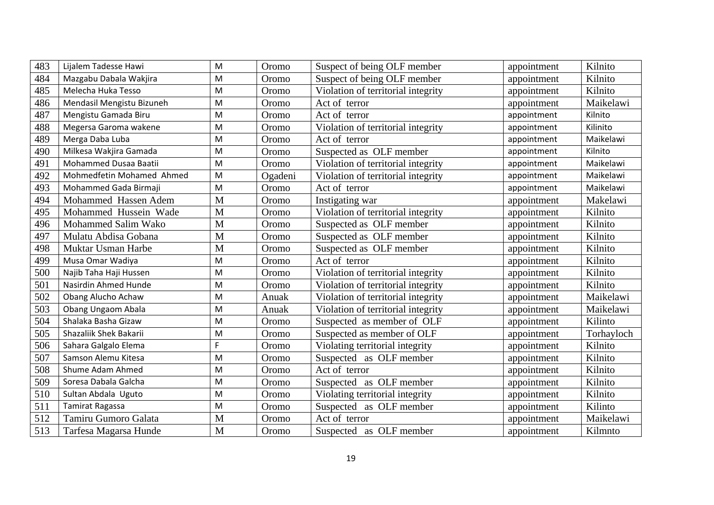| 483 | Lijalem Tadesse Hawi      | M | Oromo   | Suspect of being OLF member        | appointment | Kilnito    |
|-----|---------------------------|---|---------|------------------------------------|-------------|------------|
| 484 | Mazgabu Dabala Wakjira    | M | Oromo   | Suspect of being OLF member        | appointment | Kilnito    |
| 485 | Melecha Huka Tesso        | M | Oromo   | Violation of territorial integrity | appointment | Kilnito    |
| 486 | Mendasil Mengistu Bizuneh | M | Oromo   | Act of terror                      | appointment | Maikelawi  |
| 487 | Mengistu Gamada Biru      | M | Oromo   | Act of terror                      | appointment | Kilnito    |
| 488 | Megersa Garoma wakene     | M | Oromo   | Violation of territorial integrity | appointment | Kilinito   |
| 489 | Merga Daba Luba           | M | Oromo   | Act of terror                      | appointment | Maikelawi  |
| 490 | Milkesa Wakjira Gamada    | M | Oromo   | Suspected as OLF member            | appointment | Kilnito    |
| 491 | Mohammed Dusaa Baatii     | M | Oromo   | Violation of territorial integrity | appointment | Maikelawi  |
| 492 | Mohmedfetin Mohamed Ahmed | M | Ogadeni | Violation of territorial integrity | appointment | Maikelawi  |
| 493 | Mohammed Gada Birmaji     | M | Oromo   | Act of terror                      | appointment | Maikelawi  |
| 494 | Mohammed Hassen Adem      | M | Oromo   | Instigating war                    | appointment | Makelawi   |
| 495 | Mohammed Hussein Wade     | M | Oromo   | Violation of territorial integrity | appointment | Kilnito    |
| 496 | Mohammed Salim Wako       | M | Oromo   | Suspected as OLF member            | appointment | Kilnito    |
| 497 | Mulatu Abdisa Gobana      | M | Oromo   | Suspected as OLF member            | appointment | Kilnito    |
| 498 | Muktar Usman Harbe        | M | Oromo   | Suspected as OLF member            | appointment | Kilnito    |
| 499 | Musa Omar Wadiya          | M | Oromo   | Act of terror                      | appointment | Kilnito    |
| 500 | Najib Taha Haji Hussen    | M | Oromo   | Violation of territorial integrity | appointment | Kilnito    |
| 501 | Nasirdin Ahmed Hunde      | M | Oromo   | Violation of territorial integrity | appointment | Kilnito    |
| 502 | Obang Alucho Achaw        | M | Anuak   | Violation of territorial integrity | appointment | Maikelawi  |
| 503 | <b>Obang Ungaom Abala</b> | M | Anuak   | Violation of territorial integrity | appointment | Maikelawi  |
| 504 | Shalaka Basha Gizaw       | M | Oromo   | Suspected as member of OLF         | appointment | Kilinto    |
| 505 | Shazaliik Shek Bakarii    | M | Oromo   | Suspected as member of OLF         | appointment | Torhayloch |
| 506 | Sahara Galgalo Elema      | F | Oromo   | Violating territorial integrity    | appointment | Kilnito    |
| 507 | Samson Alemu Kitesa       | M | Oromo   | Suspected as OLF member            | appointment | Kilnito    |
| 508 | Shume Adam Ahmed          | M | Oromo   | Act of terror                      | appointment | Kilnito    |
| 509 | Soresa Dabala Galcha      | M | Oromo   | Suspected as OLF member            | appointment | Kilnito    |
| 510 | Sultan Abdala Uguto       | M | Oromo   | Violating territorial integrity    | appointment | Kilnito    |
| 511 | <b>Tamirat Ragassa</b>    | M | Oromo   | Suspected as OLF member            | appointment | Kilinto    |
| 512 | Tamiru Gumoro Galata      | M | Oromo   | Act of terror                      | appointment | Maikelawi  |
| 513 | Tarfesa Magarsa Hunde     | M | Oromo   | Suspected as OLF member            | appointment | Kilmnto    |